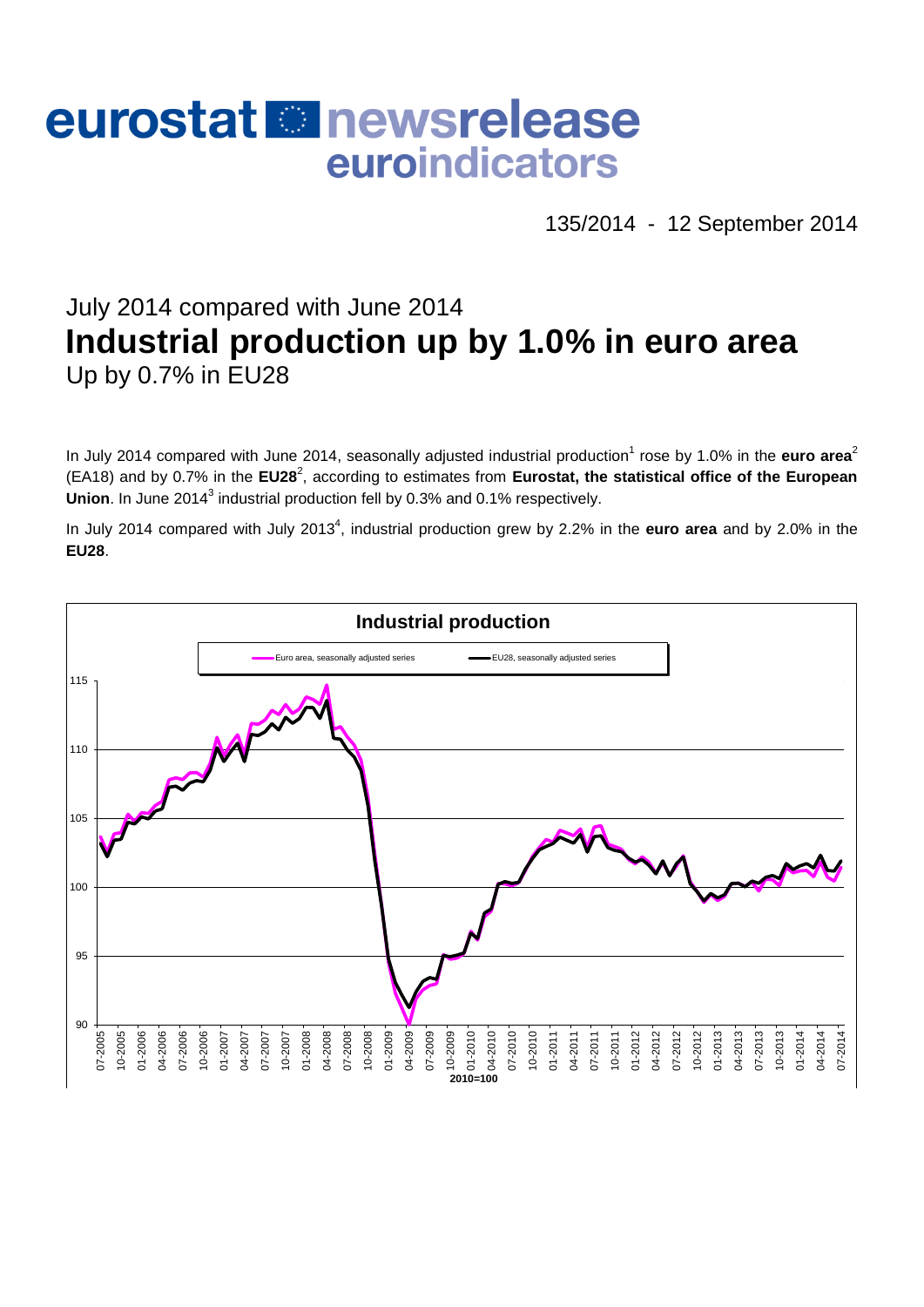# eurostat **E**newsrelease euroindicators

135/2014 - 12 September 2014

## July 2014 compared with June 2014 **Industrial production up by 1.0% in euro area** Up by 0.7% in EU28

In July 2014 compared with June 2014, seasonally adjusted industrial production<sup>1</sup> rose by 1.0% in the euro area<sup>2</sup> (EA18) and by 0.7% in the EU28<sup>2</sup>, according to estimates from Eurostat, the statistical office of the European Union. In June 2014<sup>3</sup> industrial production fell by 0.3% and 0.1% respectively.

In July 2014 compared with July 2013<sup>4</sup>, industrial production grew by 2.2% in the **euro area** and by 2.0% in the **EU28**.

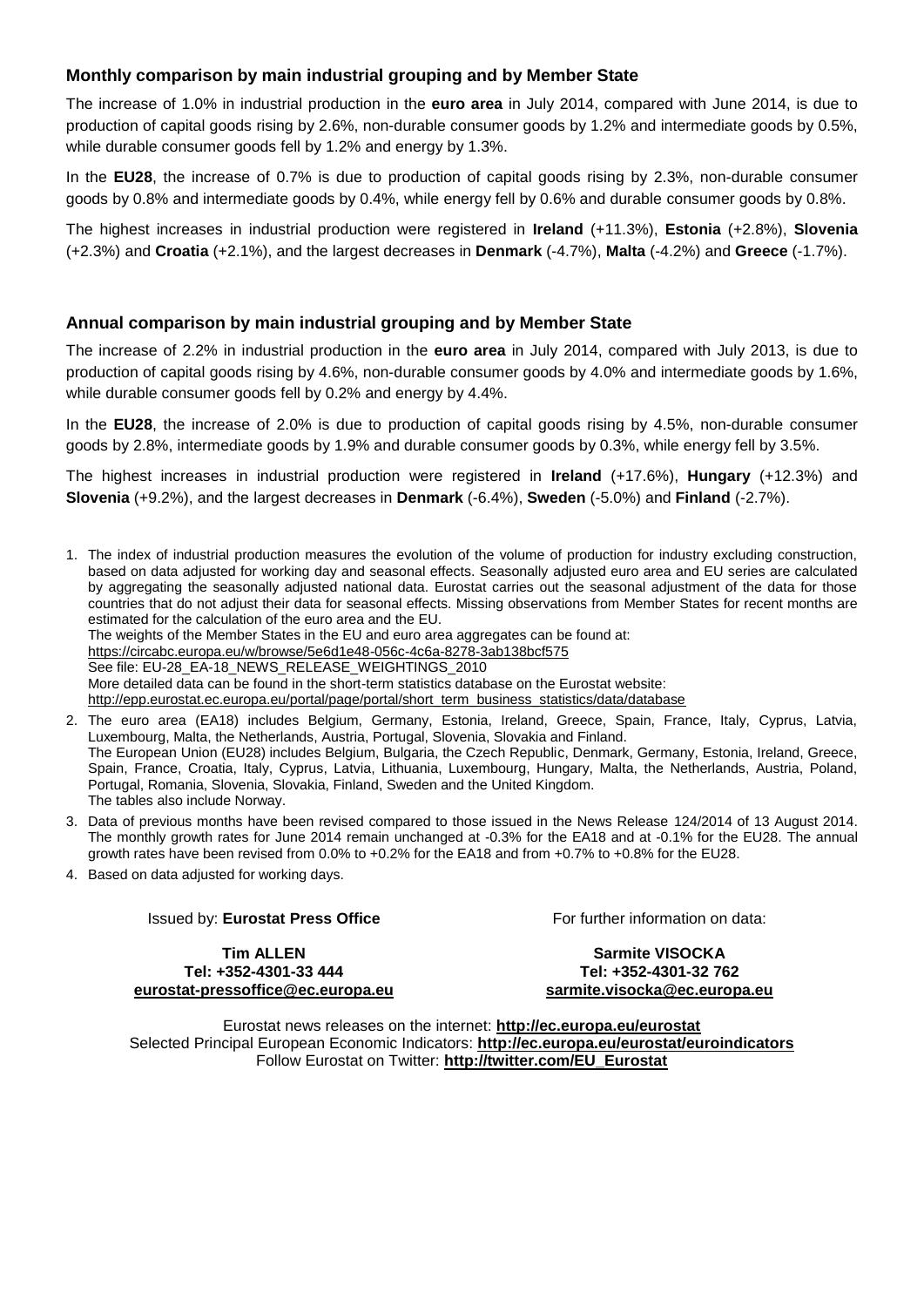#### **Monthly comparison by main industrial grouping and by Member State**

The increase of 1.0% in industrial production in the **euro area** in July 2014, compared with June 2014, is due to production of capital goods rising by 2.6%, non-durable consumer goods by 1.2% and intermediate goods by 0.5%, while durable consumer goods fell by 1.2% and energy by 1.3%.

In the **EU28**, the increase of 0.7% is due to production of capital goods rising by 2.3%, non-durable consumer goods by 0.8% and intermediate goods by 0.4%, while energy fell by 0.6% and durable consumer goods by 0.8%.

The highest increases in industrial production were registered in **Ireland** (+11.3%), **Estonia** (+2.8%), **Slovenia** (+2.3%) and **Croatia** (+2.1%), and the largest decreases in **Denmark** (-4.7%), **Malta** (-4.2%) and **Greece** (-1.7%).

#### **Annual comparison by main industrial grouping and by Member State**

The increase of 2.2% in industrial production in the **euro area** in July 2014, compared with July 2013, is due to production of capital goods rising by 4.6%, non-durable consumer goods by 4.0% and intermediate goods by 1.6%, while durable consumer goods fell by 0.2% and energy by 4.4%.

In the **EU28**, the increase of 2.0% is due to production of capital goods rising by 4.5%, non-durable consumer goods by 2.8%, intermediate goods by 1.9% and durable consumer goods by 0.3%, while energy fell by 3.5%.

The highest increases in industrial production were registered in **Ireland** (+17.6%), **Hungary** (+12.3%) and **Slovenia** (+9.2%), and the largest decreases in **Denmark** (-6.4%), **Sweden** (-5.0%) and **Finland** (-2.7%).

1. The index of industrial production measures the evolution of the volume of production for industry excluding construction, based on data adjusted for working day and seasonal effects. Seasonally adjusted euro area and EU series are calculated by aggregating the seasonally adjusted national data. Eurostat carries out the seasonal adjustment of the data for those countries that do not adjust their data for seasonal effects. Missing observations from Member States for recent months are estimated for the calculation of the euro area and the EU. The weights of the Member States in the EU and euro area aggregates can be found at:

<https://circabc.europa.eu/w/browse/5e6d1e48-056c-4c6a-8278-3ab138bcf575> See file: EU-28\_EA-18\_NEWS\_RELEASE\_WEIGHTINGS\_2010

More detailed data can be found in the short-term statistics database on the Eurostat website:

[http://epp.eurostat.ec.europa.eu/portal/page/portal/short\\_term\\_business\\_statistics/data/database](http://epp.eurostat.ec.europa.eu/portal/page/portal/short_term_business_statistics/data/database)

- 2. The euro area (EA18) includes Belgium, Germany, Estonia, Ireland, Greece, Spain, France, Italy, Cyprus, Latvia, Luxembourg, Malta, the Netherlands, Austria, Portugal, Slovenia, Slovakia and Finland. The European Union (EU28) includes Belgium, Bulgaria, the Czech Republic, Denmark, Germany, Estonia, Ireland, Greece, Spain, France, Croatia, Italy, Cyprus, Latvia, Lithuania, Luxembourg, Hungary, Malta, the Netherlands, Austria, Poland, Portugal, Romania, Slovenia, Slovakia, Finland, Sweden and the United Kingdom. The tables also include Norway.
- 3. Data of previous months have been revised compared to those issued in the News Release 124/2014 of 13 August 2014. The monthly growth rates for June 2014 remain unchanged at -0.3% for the EA18 and at -0.1% for the EU28. The annual growth rates have been revised from 0.0% to +0.2% for the EA18 and from +0.7% to +0.8% for the EU28.
- 4. Based on data adjusted for working days.

#### Issued by: **Eurostat Press Office**

For further information on data:

**Tim ALLEN Tel: +352-4301-33 444 [eurostat-pressoffice@ec.europa.eu](mailto:eurostat-pressoffice@ec.europa.eu)**

**Sarmite VISOCKA Tel: +352-4301-32 762 [sarmite.visocka@ec.europa.eu](mailto:sarmite.visocka@ec.europa.eu)**

Eurostat news releases on the internet: **<http://ec.europa.eu/eurostat>** Selected Principal European Economic Indicators: **<http://ec.europa.eu/eurostat/euroindicators>** Follow Eurostat on Twitter: **[http://twitter.com/EU\\_Eurostat](http://twitter.com/EU_Eurostat)**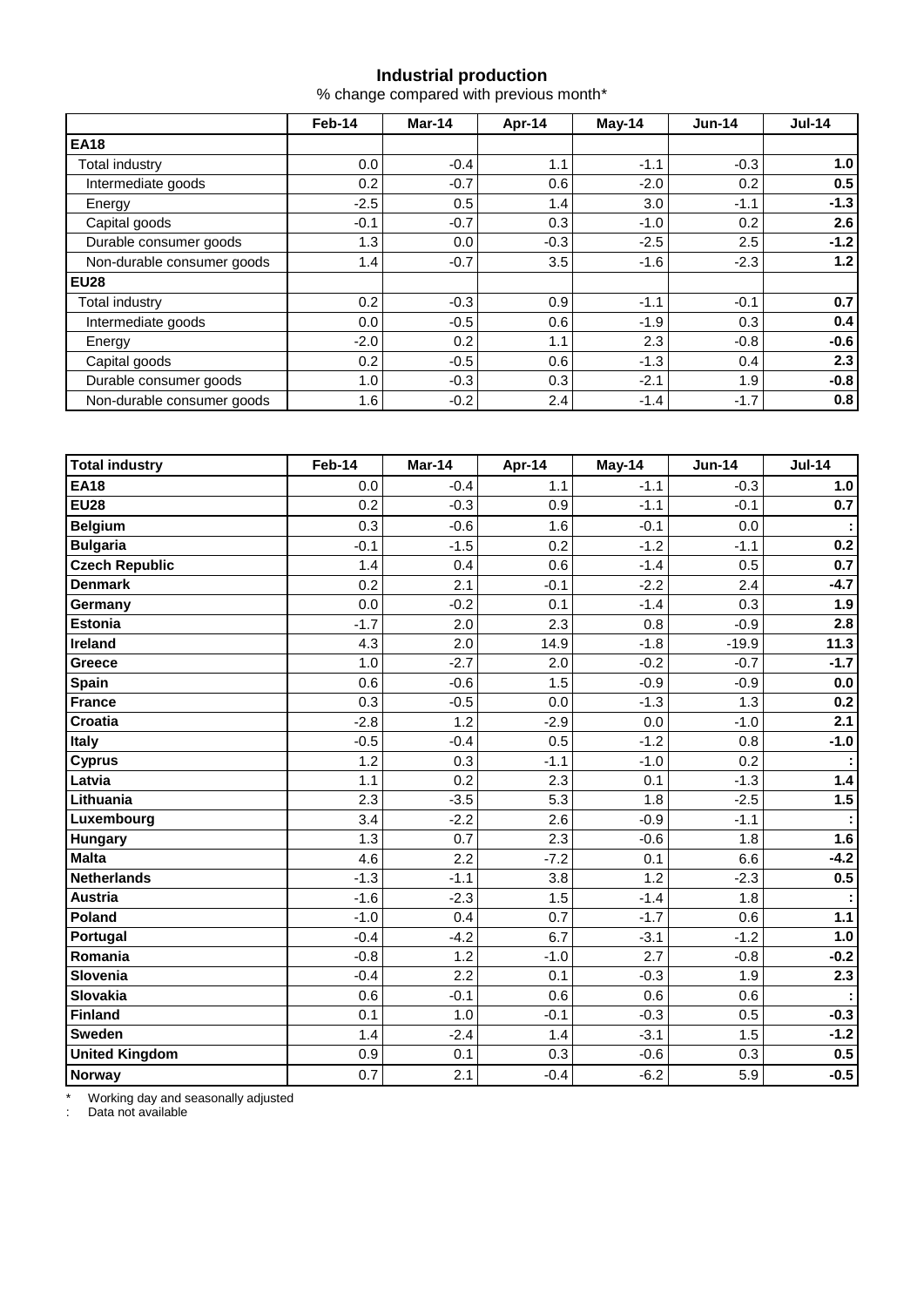#### **Industrial production**

% change compared with previous month\*

|                            | Feb-14 | Mar-14 | Apr-14 | $May-14$ | $Jun-14$ | $Jul-14$ |  |
|----------------------------|--------|--------|--------|----------|----------|----------|--|
| <b>EA18</b>                |        |        |        |          |          |          |  |
| Total industry             | 0.0    | $-0.4$ | 1.1    | $-1.1$   | $-0.3$   | 1.0      |  |
| Intermediate goods         | 0.2    | $-0.7$ | 0.6    | $-2.0$   | 0.2      | 0.5      |  |
| Energy                     | $-2.5$ | 0.5    | 1.4    | 3.0      | $-1.1$   | $-1.3$   |  |
| Capital goods              | $-0.1$ | $-0.7$ | 0.3    | $-1.0$   | 0.2      | 2.6      |  |
| Durable consumer goods     | 1.3    | 0.0    | $-0.3$ | $-2.5$   | 2.5      | $-1.2$   |  |
| Non-durable consumer goods | 1.4    | $-0.7$ | 3.5    | $-1.6$   | $-2.3$   | 1.2      |  |
| <b>EU28</b>                |        |        |        |          |          |          |  |
| Total industry             | 0.2    | $-0.3$ | 0.9    | $-1.1$   | $-0.1$   | 0.7      |  |
| Intermediate goods         | 0.0    | $-0.5$ | 0.6    | $-1.9$   | 0.3      | 0.4      |  |
| Energy                     | $-2.0$ | 0.2    | 1.1    | 2.3      | $-0.8$   | $-0.6$   |  |
| Capital goods              | 0.2    | $-0.5$ | 0.6    | $-1.3$   | 0.4      | 2.3      |  |
| Durable consumer goods     | 1.0    | $-0.3$ | 0.3    | $-2.1$   | 1.9      | $-0.8$   |  |
| Non-durable consumer goods | 1.6    | $-0.2$ | 2.4    | $-1.4$   | $-1.7$   | 0.8      |  |

| <b>Total industry</b> | Feb-14 | Mar-14 | Apr-14 | May-14 | <b>Jun-14</b> | $Jul-14$ |
|-----------------------|--------|--------|--------|--------|---------------|----------|
| <b>EA18</b>           | 0.0    | $-0.4$ | 1.1    | $-1.1$ | $-0.3$        | 1.0      |
| <b>EU28</b>           | 0.2    | $-0.3$ | 0.9    | $-1.1$ | $-0.1$        | 0.7      |
| <b>Belgium</b>        | 0.3    | $-0.6$ | 1.6    | $-0.1$ | 0.0           |          |
| <b>Bulgaria</b>       | $-0.1$ | $-1.5$ | 0.2    | $-1.2$ | $-1.1$        | 0.2      |
| <b>Czech Republic</b> | 1.4    | 0.4    | 0.6    | $-1.4$ | 0.5           | 0.7      |
| <b>Denmark</b>        | 0.2    | 2.1    | $-0.1$ | $-2.2$ | 2.4           | $-4.7$   |
| Germany               | 0.0    | $-0.2$ | 0.1    | $-1.4$ | 0.3           | 1.9      |
| <b>Estonia</b>        | $-1.7$ | 2.0    | 2.3    | 0.8    | $-0.9$        | 2.8      |
| Ireland               | 4.3    | 2.0    | 14.9   | $-1.8$ | $-19.9$       | 11.3     |
| Greece                | 1.0    | $-2.7$ | 2.0    | $-0.2$ | $-0.7$        | $-1.7$   |
| Spain                 | 0.6    | $-0.6$ | 1.5    | $-0.9$ | $-0.9$        | $0.0\,$  |
| <b>France</b>         | 0.3    | $-0.5$ | 0.0    | $-1.3$ | 1.3           | 0.2      |
| Croatia               | $-2.8$ | 1.2    | $-2.9$ | 0.0    | $-1.0$        | 2.1      |
| <b>Italy</b>          | $-0.5$ | $-0.4$ | 0.5    | $-1.2$ | 0.8           | $-1.0$   |
| <b>Cyprus</b>         | 1.2    | 0.3    | $-1.1$ | $-1.0$ | 0.2           |          |
| Latvia                | 1.1    | 0.2    | 2.3    | 0.1    | $-1.3$        | 1.4      |
| Lithuania             | 2.3    | $-3.5$ | 5.3    | 1.8    | $-2.5$        | 1.5      |
| Luxembourg            | 3.4    | $-2.2$ | 2.6    | $-0.9$ | $-1.1$        |          |
| <b>Hungary</b>        | 1.3    | 0.7    | 2.3    | $-0.6$ | 1.8           | 1.6      |
| <b>Malta</b>          | 4.6    | 2.2    | $-7.2$ | 0.1    | 6.6           | $-4.2$   |
| <b>Netherlands</b>    | $-1.3$ | $-1.1$ | 3.8    | 1.2    | $-2.3$        | 0.5      |
| <b>Austria</b>        | $-1.6$ | $-2.3$ | 1.5    | $-1.4$ | 1.8           |          |
| Poland                | $-1.0$ | 0.4    | 0.7    | $-1.7$ | 0.6           | $1.1$    |
| Portugal              | $-0.4$ | $-4.2$ | 6.7    | $-3.1$ | $-1.2$        | 1.0      |
| Romania               | $-0.8$ | 1.2    | $-1.0$ | 2.7    | $-0.8$        | $-0.2$   |
| Slovenia              | $-0.4$ | 2.2    | 0.1    | $-0.3$ | 1.9           | 2.3      |
| Slovakia              | 0.6    | $-0.1$ | 0.6    | 0.6    | 0.6           |          |
| Finland               | 0.1    | 1.0    | $-0.1$ | $-0.3$ | 0.5           | $-0.3$   |
| <b>Sweden</b>         | 1.4    | $-2.4$ | 1.4    | $-3.1$ | 1.5           | $-1.2$   |
| <b>United Kingdom</b> | 0.9    | 0.1    | 0.3    | $-0.6$ | 0.3           | 0.5      |
| <b>Norway</b>         | 0.7    | 2.1    | $-0.4$ | $-6.2$ | 5.9           | $-0.5$   |

\* Working day and seasonally adjusted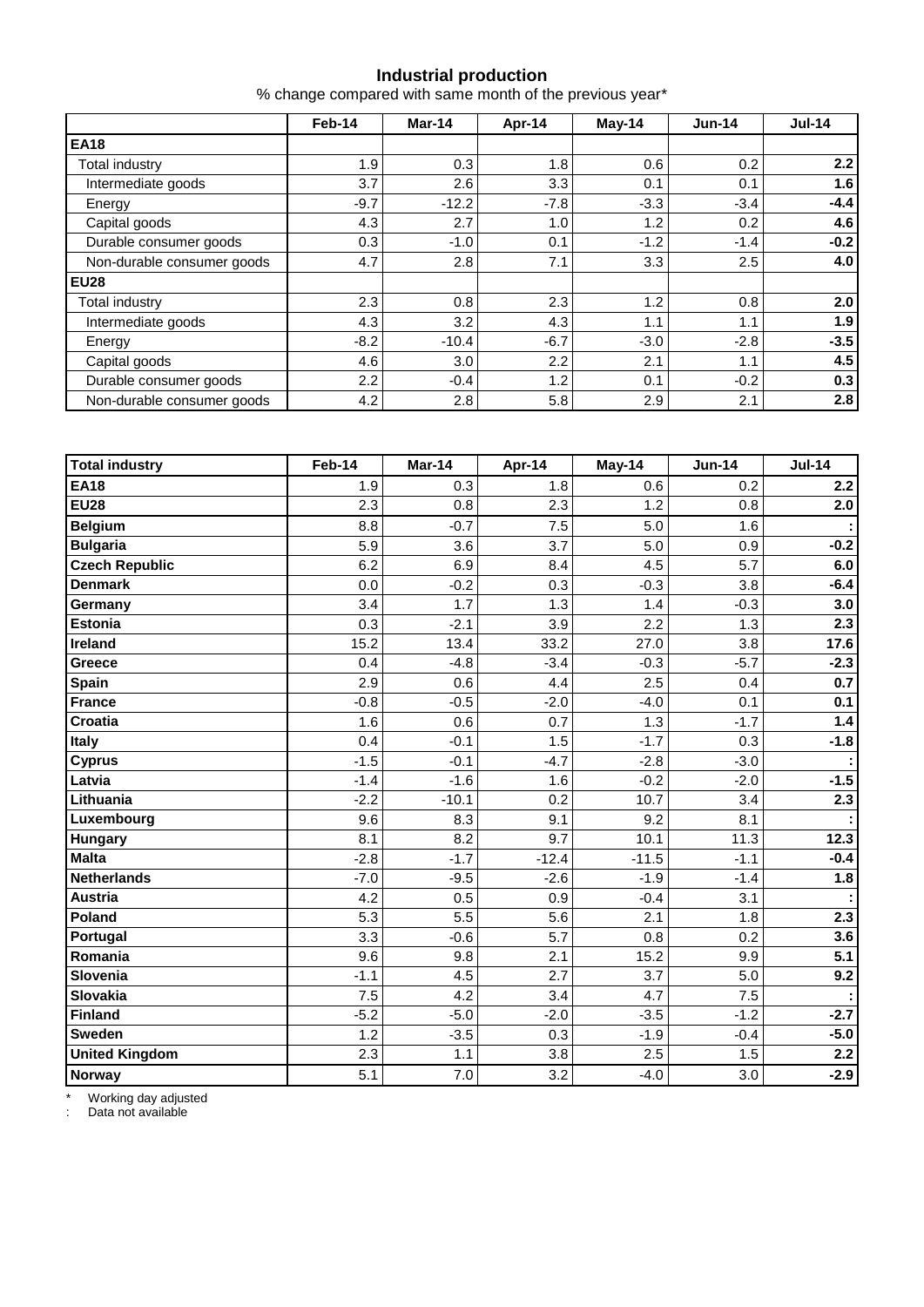#### **Industrial production**

% change compared with same month of the previous year\*

|                            | Feb-14 | Mar-14           | Apr-14 | $May-14$ | $Jun-14$ | $Jul-14$ |  |
|----------------------------|--------|------------------|--------|----------|----------|----------|--|
| <b>EA18</b>                |        |                  |        |          |          |          |  |
| <b>Total industry</b>      | 1.9    | 0.3              | 1.8    | 0.6      | 0.2      | 2.2      |  |
| Intermediate goods         | 3.7    | 2.6              | 3.3    | 0.1      | 0.1      | 1.6      |  |
| Energy                     | $-9.7$ | $-12.2$          | $-7.8$ | $-3.3$   | $-3.4$   | $-4.4$   |  |
| Capital goods              | 4.3    | 2.7              | 1.0    | 1.2      | 0.2      | 4.6      |  |
| Durable consumer goods     | 0.3    | $-1.0$           | 0.1    | $-1.2$   | $-1.4$   | $-0.2$   |  |
| Non-durable consumer goods | 4.7    | 2.8              | 7.1    | 3.3      | 2.5      | 4.0      |  |
| <b>EU28</b>                |        |                  |        |          |          |          |  |
| Total industry             | 2.3    | 0.8              | 2.3    | 1.2      | 0.8      | 2.0      |  |
| Intermediate goods         | 4.3    | 3.2              | 4.3    | 1.1      | 1.1      | 1.9      |  |
| Energy                     | $-8.2$ | $-10.4$          | $-6.7$ | $-3.0$   | $-2.8$   | $-3.5$   |  |
| Capital goods              | 4.6    | 3.0 <sub>2</sub> | 2.2    | 2.1      | 1.1      | 4.5      |  |
| Durable consumer goods     | 2.2    | $-0.4$           | 1.2    | 0.1      | $-0.2$   | 0.3      |  |
| Non-durable consumer goods | 4.2    | 2.8              | 5.8    | 2.9      | 2.1      | 2.8      |  |

| <b>Total industry</b> | Feb-14 | Mar-14  | Apr-14  | May-14  | <b>Jun-14</b> | <b>Jul-14</b> |
|-----------------------|--------|---------|---------|---------|---------------|---------------|
| <b>EA18</b>           | 1.9    | 0.3     | 1.8     | 0.6     | 0.2           | 2.2           |
| <b>EU28</b>           | 2.3    | 0.8     | 2.3     | 1.2     | 0.8           | 2.0           |
| <b>Belgium</b>        | 8.8    | $-0.7$  | 7.5     | 5.0     | 1.6           |               |
| <b>Bulgaria</b>       | 5.9    | 3.6     | 3.7     | 5.0     | 0.9           | $-0.2$        |
| <b>Czech Republic</b> | 6.2    | 6.9     | 8.4     | 4.5     | 5.7           | 6.0           |
| <b>Denmark</b>        | 0.0    | $-0.2$  | 0.3     | $-0.3$  | 3.8           | $-6.4$        |
| Germany               | 3.4    | 1.7     | 1.3     | 1.4     | $-0.3$        | 3.0           |
| <b>Estonia</b>        | 0.3    | $-2.1$  | 3.9     | 2.2     | 1.3           | 2.3           |
| Ireland               | 15.2   | 13.4    | 33.2    | 27.0    | 3.8           | 17.6          |
| Greece                | 0.4    | $-4.8$  | $-3.4$  | $-0.3$  | $-5.7$        | $-2.3$        |
| Spain                 | 2.9    | 0.6     | 4.4     | 2.5     | 0.4           | 0.7           |
| <b>France</b>         | $-0.8$ | $-0.5$  | $-2.0$  | $-4.0$  | 0.1           | 0.1           |
| Croatia               | 1.6    | 0.6     | 0.7     | 1.3     | $-1.7$        | 1.4           |
| <b>Italy</b>          | 0.4    | $-0.1$  | 1.5     | $-1.7$  | 0.3           | $-1.8$        |
| <b>Cyprus</b>         | $-1.5$ | $-0.1$  | $-4.7$  | $-2.8$  | $-3.0$        |               |
| Latvia                | $-1.4$ | $-1.6$  | 1.6     | $-0.2$  | $-2.0$        | $-1.5$        |
| Lithuania             | $-2.2$ | $-10.1$ | 0.2     | 10.7    | 3.4           | 2.3           |
| Luxembourg            | 9.6    | 8.3     | 9.1     | 9.2     | 8.1           |               |
| Hungary               | 8.1    | 8.2     | 9.7     | 10.1    | 11.3          | 12.3          |
| <b>Malta</b>          | $-2.8$ | $-1.7$  | $-12.4$ | $-11.5$ | $-1.1$        | $-0.4$        |
| <b>Netherlands</b>    | $-7.0$ | $-9.5$  | $-2.6$  | $-1.9$  | $-1.4$        | 1.8           |
| <b>Austria</b>        | 4.2    | 0.5     | 0.9     | $-0.4$  | 3.1           |               |
| Poland                | 5.3    | 5.5     | 5.6     | 2.1     | 1.8           | 2.3           |
| Portugal              | 3.3    | $-0.6$  | 5.7     | 0.8     | 0.2           | 3.6           |
| Romania               | 9.6    | 9.8     | 2.1     | 15.2    | 9.9           | 5.1           |
| Slovenia              | $-1.1$ | 4.5     | 2.7     | 3.7     | 5.0           | 9.2           |
| Slovakia              | 7.5    | 4.2     | 3.4     | 4.7     | 7.5           |               |
| Finland               | $-5.2$ | $-5.0$  | $-2.0$  | $-3.5$  | $-1.2$        | $-2.7$        |
| <b>Sweden</b>         | 1.2    | $-3.5$  | 0.3     | $-1.9$  | $-0.4$        | $-5.0$        |
| <b>United Kingdom</b> | 2.3    | 1.1     | 3.8     | 2.5     | 1.5           | 2.2           |
| <b>Norway</b>         | 5.1    | 7.0     | 3.2     | $-4.0$  | 3.0           | $-2.9$        |

\* Working day adjusted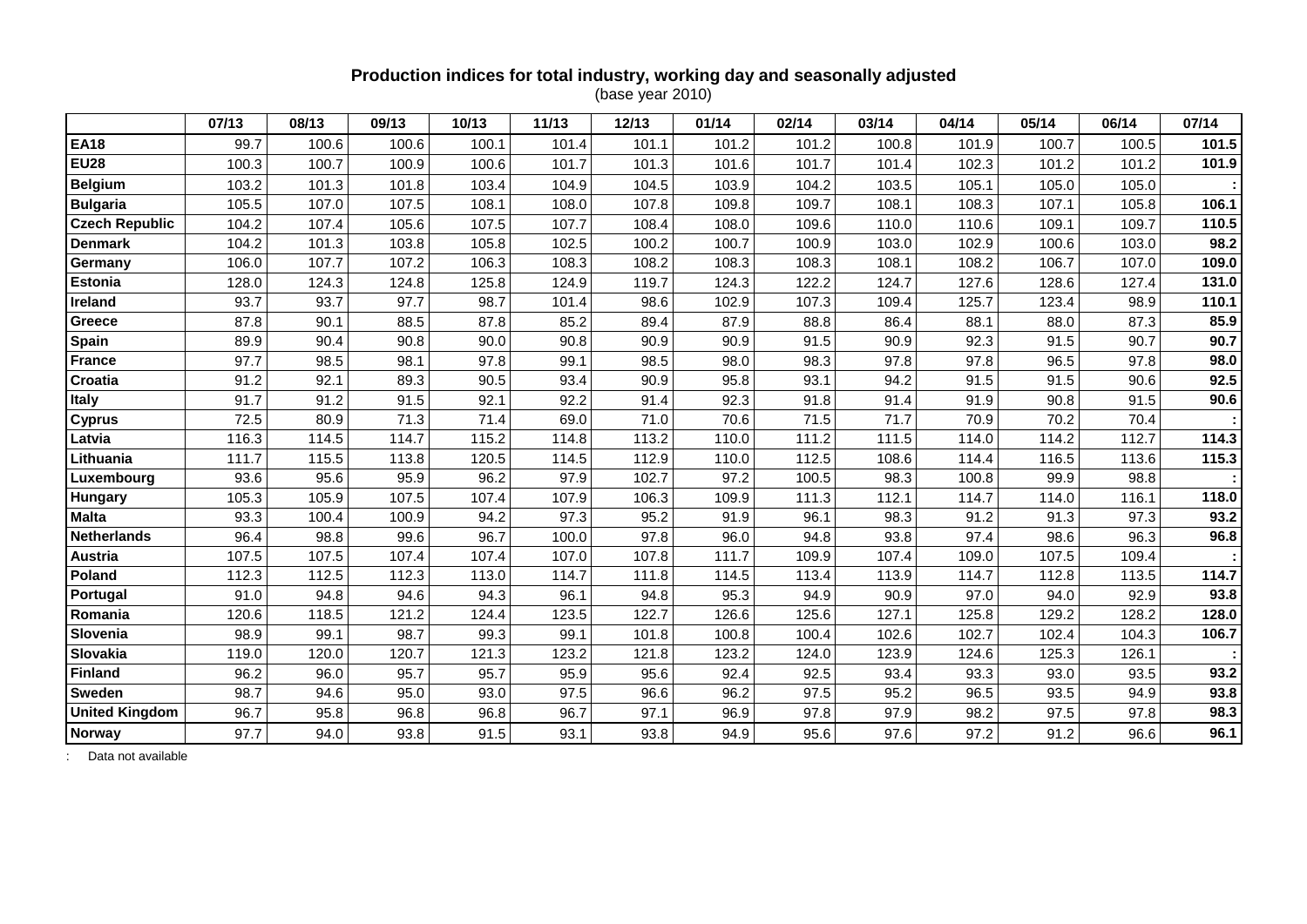### **Production indices for total industry, working day and seasonally adjusted**

(base year 2010)

|                       | 07/13 | 08/13 | 09/13 | 10/13 | 11/13 | 12/13 | 01/14 | 02/14 | 03/14 | 04/14 | 05/14 | 06/14 | 07/14 |
|-----------------------|-------|-------|-------|-------|-------|-------|-------|-------|-------|-------|-------|-------|-------|
| <b>EA18</b>           | 99.7  | 100.6 | 100.6 | 100.1 | 101.4 | 101.1 | 101.2 | 101.2 | 100.8 | 101.9 | 100.7 | 100.5 | 101.5 |
| <b>EU28</b>           | 100.3 | 100.7 | 100.9 | 100.6 | 101.7 | 101.3 | 101.6 | 101.7 | 101.4 | 102.3 | 101.2 | 101.2 | 101.9 |
| <b>Belgium</b>        | 103.2 | 101.3 | 101.8 | 103.4 | 104.9 | 104.5 | 103.9 | 104.2 | 103.5 | 105.1 | 105.0 | 105.0 |       |
| <b>Bulgaria</b>       | 105.5 | 107.0 | 107.5 | 108.1 | 108.0 | 107.8 | 109.8 | 109.7 | 108.1 | 108.3 | 107.1 | 105.8 | 106.1 |
| <b>Czech Republic</b> | 104.2 | 107.4 | 105.6 | 107.5 | 107.7 | 108.4 | 108.0 | 109.6 | 110.0 | 110.6 | 109.1 | 109.7 | 110.5 |
| <b>Denmark</b>        | 104.2 | 101.3 | 103.8 | 105.8 | 102.5 | 100.2 | 100.7 | 100.9 | 103.0 | 102.9 | 100.6 | 103.0 | 98.2  |
| Germany               | 106.0 | 107.7 | 107.2 | 106.3 | 108.3 | 108.2 | 108.3 | 108.3 | 108.1 | 108.2 | 106.7 | 107.0 | 109.0 |
| <b>Estonia</b>        | 128.0 | 124.3 | 124.8 | 125.8 | 124.9 | 119.7 | 124.3 | 122.2 | 124.7 | 127.6 | 128.6 | 127.4 | 131.0 |
| <b>Ireland</b>        | 93.7  | 93.7  | 97.7  | 98.7  | 101.4 | 98.6  | 102.9 | 107.3 | 109.4 | 125.7 | 123.4 | 98.9  | 110.1 |
| Greece                | 87.8  | 90.1  | 88.5  | 87.8  | 85.2  | 89.4  | 87.9  | 88.8  | 86.4  | 88.1  | 88.0  | 87.3  | 85.9  |
| <b>Spain</b>          | 89.9  | 90.4  | 90.8  | 90.0  | 90.8  | 90.9  | 90.9  | 91.5  | 90.9  | 92.3  | 91.5  | 90.7  | 90.7  |
| <b>France</b>         | 97.7  | 98.5  | 98.1  | 97.8  | 99.1  | 98.5  | 98.0  | 98.3  | 97.8  | 97.8  | 96.5  | 97.8  | 98.0  |
| Croatia               | 91.2  | 92.1  | 89.3  | 90.5  | 93.4  | 90.9  | 95.8  | 93.1  | 94.2  | 91.5  | 91.5  | 90.6  | 92.5  |
| <b>Italy</b>          | 91.7  | 91.2  | 91.5  | 92.1  | 92.2  | 91.4  | 92.3  | 91.8  | 91.4  | 91.9  | 90.8  | 91.5  | 90.6  |
| <b>Cyprus</b>         | 72.5  | 80.9  | 71.3  | 71.4  | 69.0  | 71.0  | 70.6  | 71.5  | 71.7  | 70.9  | 70.2  | 70.4  |       |
| Latvia                | 116.3 | 114.5 | 114.7 | 115.2 | 114.8 | 113.2 | 110.0 | 111.2 | 111.5 | 114.0 | 114.2 | 112.7 | 114.3 |
| Lithuania             | 111.7 | 115.5 | 113.8 | 120.5 | 114.5 | 112.9 | 110.0 | 112.5 | 108.6 | 114.4 | 116.5 | 113.6 | 115.3 |
| Luxembourg            | 93.6  | 95.6  | 95.9  | 96.2  | 97.9  | 102.7 | 97.2  | 100.5 | 98.3  | 100.8 | 99.9  | 98.8  |       |
| Hungary               | 105.3 | 105.9 | 107.5 | 107.4 | 107.9 | 106.3 | 109.9 | 111.3 | 112.1 | 114.7 | 114.0 | 116.1 | 118.0 |
| <b>Malta</b>          | 93.3  | 100.4 | 100.9 | 94.2  | 97.3  | 95.2  | 91.9  | 96.1  | 98.3  | 91.2  | 91.3  | 97.3  | 93.2  |
| <b>Netherlands</b>    | 96.4  | 98.8  | 99.6  | 96.7  | 100.0 | 97.8  | 96.0  | 94.8  | 93.8  | 97.4  | 98.6  | 96.3  | 96.8  |
| <b>Austria</b>        | 107.5 | 107.5 | 107.4 | 107.4 | 107.0 | 107.8 | 111.7 | 109.9 | 107.4 | 109.0 | 107.5 | 109.4 |       |
| Poland                | 112.3 | 112.5 | 112.3 | 113.0 | 114.7 | 111.8 | 114.5 | 113.4 | 113.9 | 114.7 | 112.8 | 113.5 | 114.7 |
| Portugal              | 91.0  | 94.8  | 94.6  | 94.3  | 96.1  | 94.8  | 95.3  | 94.9  | 90.9  | 97.0  | 94.0  | 92.9  | 93.8  |
| Romania               | 120.6 | 118.5 | 121.2 | 124.4 | 123.5 | 122.7 | 126.6 | 125.6 | 127.1 | 125.8 | 129.2 | 128.2 | 128.0 |
| Slovenia              | 98.9  | 99.1  | 98.7  | 99.3  | 99.1  | 101.8 | 100.8 | 100.4 | 102.6 | 102.7 | 102.4 | 104.3 | 106.7 |
| Slovakia              | 119.0 | 120.0 | 120.7 | 121.3 | 123.2 | 121.8 | 123.2 | 124.0 | 123.9 | 124.6 | 125.3 | 126.1 |       |
| <b>Finland</b>        | 96.2  | 96.0  | 95.7  | 95.7  | 95.9  | 95.6  | 92.4  | 92.5  | 93.4  | 93.3  | 93.0  | 93.5  | 93.2  |
| <b>Sweden</b>         | 98.7  | 94.6  | 95.0  | 93.0  | 97.5  | 96.6  | 96.2  | 97.5  | 95.2  | 96.5  | 93.5  | 94.9  | 93.8  |
| <b>United Kingdom</b> | 96.7  | 95.8  | 96.8  | 96.8  | 96.7  | 97.1  | 96.9  | 97.8  | 97.9  | 98.2  | 97.5  | 97.8  | 98.3  |
| Norway                | 97.7  | 94.0  | 93.8  | 91.5  | 93.1  | 93.8  | 94.9  | 95.6  | 97.6  | 97.2  | 91.2  | 96.6  | 96.1  |